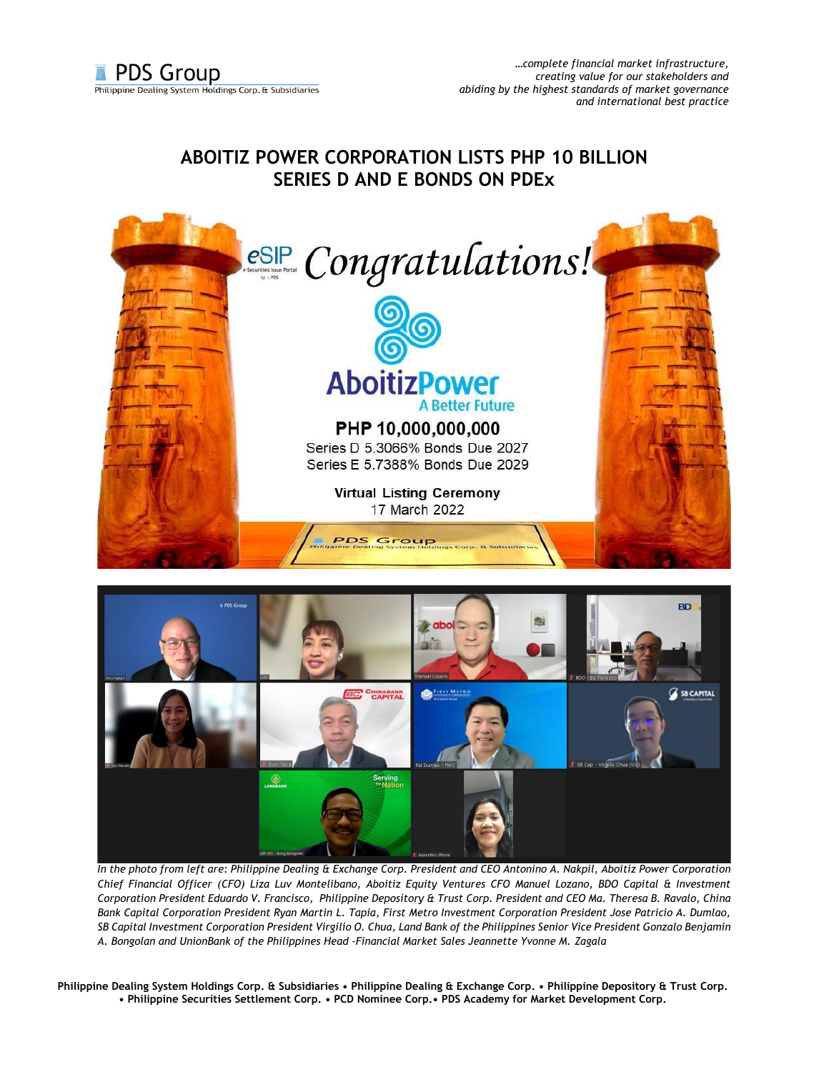## **ABOITIZ POWER CORPORATION LISTS PHP 10 BILLION SERIES D AND E BONDS ON PDEx**





*In the photo from left are: Philippine Dealing & Exchange Corp. President and CEO Antonino A. Nakpil, Aboitiz Power Corporation Chief Financial Officer (CFO) Liza Luv Montelibano, Aboitiz Equity Ventures CFO Manuel Lozano, BDO Capital & Investment Corporation President Eduardo V. Francisco, Philippine Depository & Trust Corp. President and CEO Ma. Theresa B. Ravalo, China Bank Capital Corporation President Ryan Martin L. Tapia, First Metro Investment Corporation President Jose Patricio A. Dumlao, SB Capital Investment Corporation President Virgilio O. Chua, Land Bank of the Philippines Senior Vice President Gonzalo Benjamin A. Bongolan and UnionBank of the Philippines Head -Financial Market Sales Jeannette Yvonne M. Zagala*

**Philippine Dealing System Holdings Corp. & Subsidiaries • Philippine Dealing & Exchange Corp. • Philippine Depository & Trust Corp. • Philippine Securities Settlement Corp. • PCD Nominee Corp.• PDS Academy for Market Development Corp.**